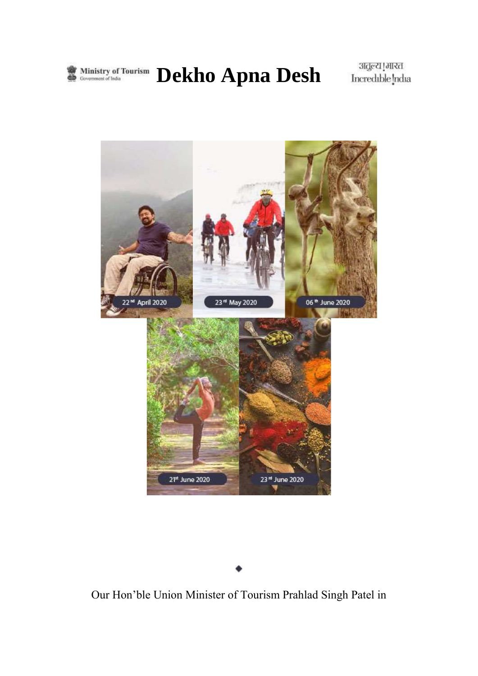

**Ministry of Tourism Dekho Apna Desh** 

अतुल्य [मारत<br>Incredible [ndia



Our Hon'ble Union Minister of Tourism Prahlad Singh Patel in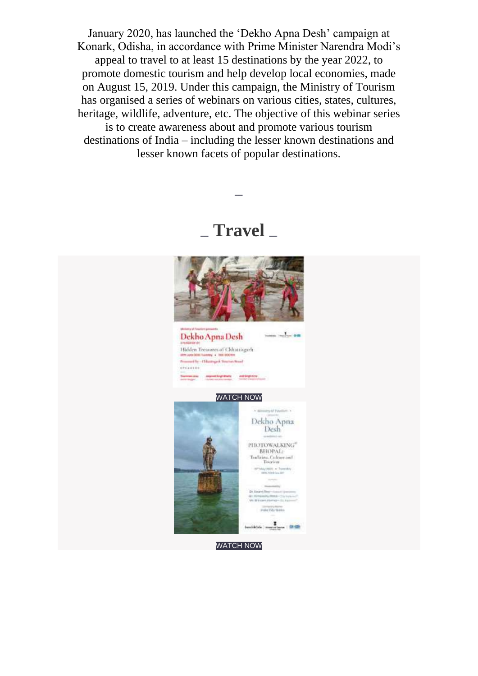January 2020, has launched the 'Dekho Apna Desh' campaign at Konark, Odisha, in accordance with Prime Minister Narendra Modi's appeal to travel to at least 15 destinations by the year 2022, to promote domestic tourism and help develop local economies, made on August 15, 2019. Under this campaign, the Ministry of Tourism has organised a series of webinars on various cities, states, cultures, heritage, wildlife, adventure, etc. The objective of this webinar series is to create awareness about and promote various tourism destinations of India – including the lesser known destinations and lesser known facets of popular destinations.

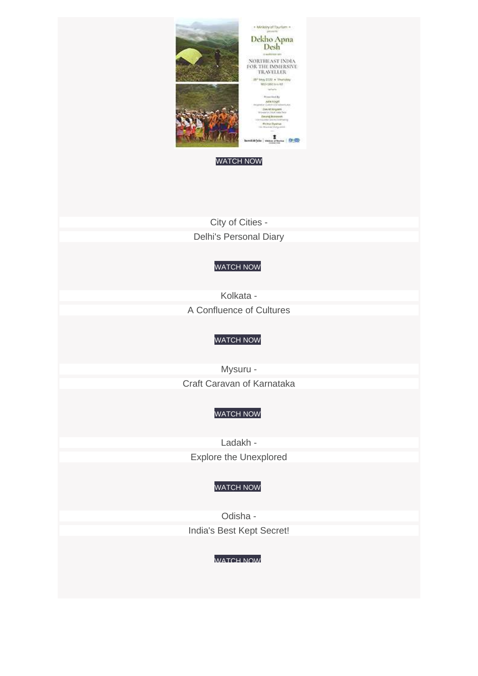

[WATCH](https://youtu.be/dsO0tH4DHnk) NOW

City of [Cities](https://youtu.be/LWlBc8F_Us4) - Delhi's [Personal](https://youtu.be/LWlBc8F_Us4) Diary

#### [WATCH](https://youtu.be/LWlBc8F_Us4) NOW

[Kolkata](https://youtu.be/Wj_Umg4NkmQ) - A [Confluence](https://youtu.be/Wj_Umg4NkmQ) of Cultures

#### [WATCH](https://youtu.be/Wj_Umg4NkmQ) NOW

[Mysuru](https://youtu.be/Ad0jn0qHNag) - Craft Caravan of [Karnataka](https://youtu.be/Ad0jn0qHNag)

#### [WATCH](https://youtu.be/Ad0jn0qHNag) NOW

[Ladakh](https://youtu.be/URhQ32I_wJ0) - Explore the [Unexplored](https://youtu.be/URhQ32I_wJ0)

#### [WATCH](https://youtu.be/URhQ32I_wJ0) NOW

[Odisha](https://youtu.be/iKsvlx_Vr5k) - India's Best Kept [Secret!](https://youtu.be/iKsvlx_Vr5k)

#### [WATCH](https://youtu.be/iKsvlx_Vr5k) NOW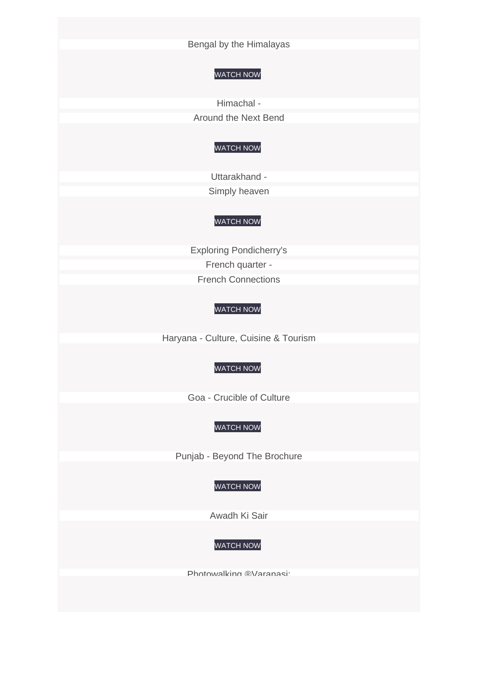Bengal by the [Himalayas](https://youtu.be/KW8Gda6QYdc)

#### [WATCH](https://youtu.be/KW8Gda6QYdc) NOW

[Himachal](https://youtu.be/y_Jgu5cJOLY) - [Around](https://youtu.be/y_Jgu5cJOLY) the Next Bend

#### [WATCH](https://youtu.be/y_Jgu5cJOLY) NOW

[Uttarakhand](https://youtu.be/SoM1q95uJ-0) - Simply [heaven](https://youtu.be/SoM1q95uJ-0)

#### [WATCH](https://youtu.be/SoM1q95uJ-0) NOW

Exploring [Pondicherry's](https://youtu.be/0djea3xPkD0) French [quarter](https://youtu.be/0djea3xPkD0) - French [Connections](https://youtu.be/0djea3xPkD0)

#### [WATCH](https://youtu.be/0djea3xPkD0) NOW

[Haryana](https://youtu.be/FD8skKPyrsA) - Culture, Cuisine & Tourism

#### [WATCH](https://youtu.be/FD8skKPyrsA) NOW

Goa - [Crucible](https://youtu.be/iBcEkl4vcGg) of Culture

#### [WATCH](https://youtu.be/iBcEkl4vcGg) NOW

Punjab - Beyond The [Brochure](https://youtu.be/rGUZ5yrF-Cw)

#### [WATCH](https://youtu.be/rGUZ5yrF-Cw) NOW

[Awadh](https://youtu.be/RlOg5jlEWy0) Ki Sair

#### [WATCH](https://youtu.be/RlOg5jlEWy0) NOW

[Photowalking](https://youtu.be/sTNVSIO_OxM) ®Varanasi: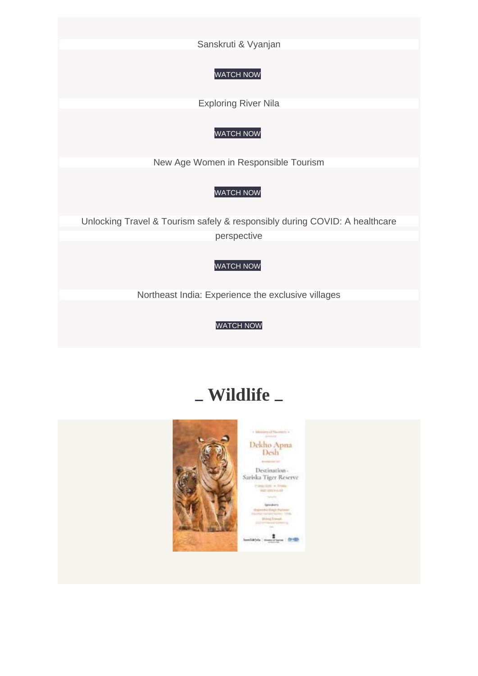[Sanskruti](https://youtu.be/sTNVSIO_OxM) & Vyanjan

#### [WATCH](https://youtu.be/sTNVSIO_OxM) NOW

[Exploring](https://youtu.be/vg1hKFg_I3k) River Nila

#### [WATCH](https://youtu.be/vg1hKFg_I3k) NOW

New Age Women in [Responsible](https://youtu.be/I-VBMvTzYpc) Tourism

#### [WATCH](https://youtu.be/I-VBMvTzYpc) NOW

Unlocking Travel & Tourism safely & [responsibly](https://www.youtube.com/watch?v=MulME-knv0Q&t=514s) during COVID: A healthcare [perspective](https://www.youtube.com/watch?v=MulME-knv0Q&t=514s)

#### [WATCH](https://www.youtube.com/watch?v=MulME-knv0Q&t=514s) NOW

Northeast India: [Experience](https://youtu.be/fMyC7P7Dbs4) the exclusive villages

[WATCH](https://youtu.be/fMyC7P7Dbs4) NOW

## **Wildlife**

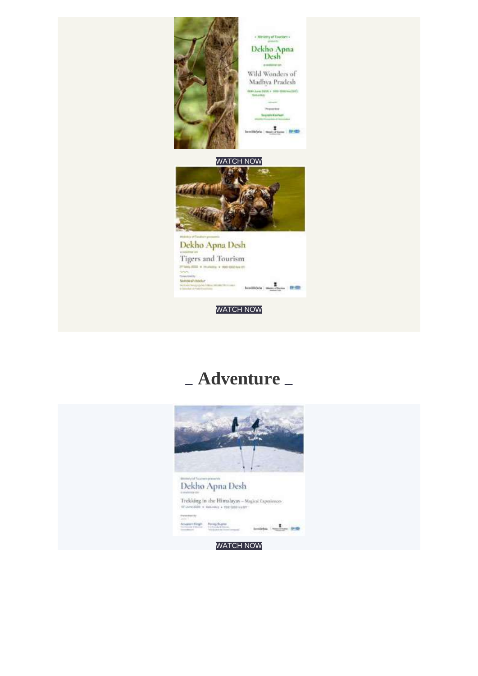

## **Adventure**

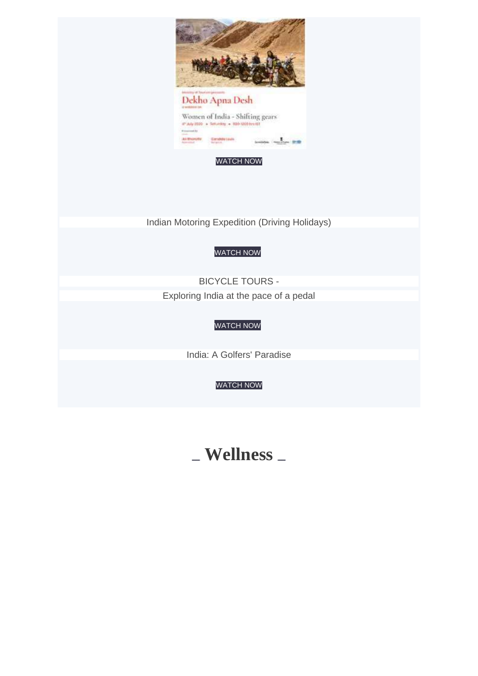

[WATCH](https://youtu.be/l6PQEEDZStM) NOW

Indian Motoring [Expedition](https://www.youtube.com/watch?v=wRfU1JfuQlU) (Driving Holidays)

#### [WATCH](https://www.youtube.com/watch?v=wRfU1JfuQlU) NOW

[BICYCLE](https://youtu.be/OgIlRghMlN8) TOURS - [Exploring](https://youtu.be/OgIlRghMlN8) India at the pace of a pedal

#### [WATCH](https://youtu.be/OgIlRghMlN8) NOW

India: A Golfers' [Paradise](https://youtu.be/MZXzuE30Zfg)

#### [WATCH](https://youtu.be/MZXzuE30Zfg) NOW

### **Wellness**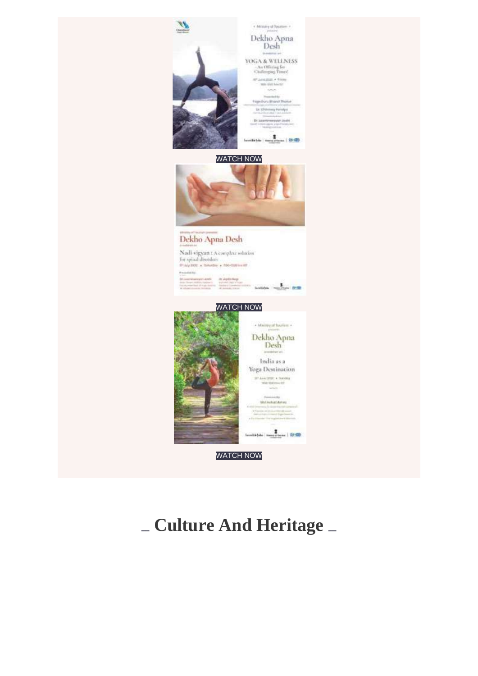

# **Culture And Heritage**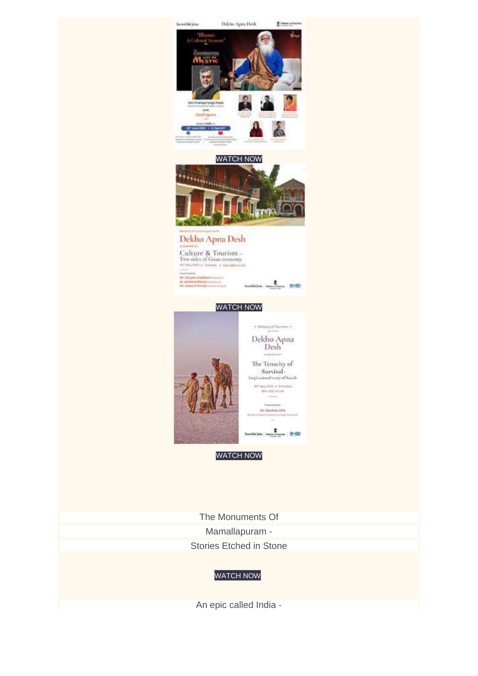

The [Monuments](https://youtu.be/vsPHz-mBkuk) Of [Mamallapuram](https://youtu.be/vsPHz-mBkuk) - Stories [Etched](https://youtu.be/vsPHz-mBkuk) in Stone

#### [WATCH](https://youtu.be/vsPHz-mBkuk) NOW

An epic [called](https://youtu.be/iIScfDT-8fI) India -